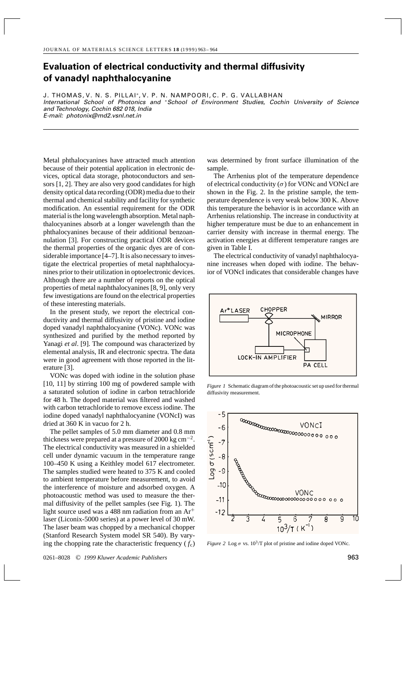## **Evaluation of electrical conductivity and thermal diffusivity of vanadyl naphthalocyanine**

J. THOMAS, V. N. S. PILLAI\*, V. P. N. NAMPOORI, C. P. G. VALLABHAN International School of Photonics and ∗School of Environment Studies, Cochin University of Science and Technology, Cochin 682 018, India E-mail: photonix@md2.vsnl.net.in

Metal phthalocyanines have attracted much attention because of their potential application in electronic devices, optical data storage, photoconductors and sensors [1, 2]. They are also very good candidates for high density optical data recording (ODR) media due to their thermal and chemical stability and facility for synthetic modification. An essential requirement for the ODR material is the long wavelength absorption. Metal naphthalocyanines absorb at a longer wavelength than the phthalocyanines because of their additional benzoannulation [3]. For constructing practical ODR devices the thermal properties of the organic dyes are of considerable importance [4–7]. It is also necessary to investigate the electrical properties of metal naphthalocyanines prior to their utilization in optoelectronic devices. Although there are a number of reports on the optical properties of metal naphthalocyanines [8, 9], only very few investigations are found on the electrical properties of these interesting materials.

In the present study, we report the electrical conductivity and thermal diffusivity of pristine and iodine doped vanadyl naphthalocyanine (VONc). VONc was synthesized and purified by the method reported by Yanagi *et al*. [9]. The compound was characterized by elemental analysis, IR and electronic spectra. The data were in good agreement with those reported in the literature [3].

VONc was doped with iodine in the solution phase [10, 11] by stirring 100 mg of powdered sample with a saturated solution of iodine in carbon tetrachloride for 48 h. The doped material was filtered and washed with carbon tetrachloride to remove excess iodine. The iodine doped vanadyl naphthalocyanine (VONcI) was dried at 360 K in vacuo for 2 h.

The pellet samples of 5.0 mm diameter and 0.8 mm thickness were prepared at a pressure of 2000 kg cm<sup>-2</sup>. The electrical conductivity was measured in a shielded cell under dynamic vacuum in the temperature range 100–450 K using a Keithley model 617 electrometer. The samples studied were heated to 375 K and cooled to ambient temperature before measurement, to avoid the interference of moisture and adsorbed oxygen. A photoacoustic method was used to measure the thermal diffusivity of the pellet samples (see Fig. 1). The light source used was a 488 nm radiation from an  $Ar^+$ laser (Liconix-5000 series) at a power level of 30 mW. The laser beam was chopped by a mechanical chopper (Stanford Research System model SR 540). By varying the chopping rate the characteristic frequency  $(f_c)$ 

was determined by front surface illumination of the sample.

The Arrhenius plot of the temperature dependence of electrical conductivity  $(\sigma)$  for VONc and VONcI are shown in the Fig. 2. In the pristine sample, the temperature dependence is very weak below 300 K. Above this temperature the behavior is in accordance with an Arrhenius relationship. The increase in conductivity at higher temperature must be due to an enhancement in carrier density with increase in thermal energy. The activation energies at different temperature ranges are given in Table I.

The electrical conductivity of vanadyl naphthalocyanine increases when doped with iodine. The behavior of VONcI indicates that considerable changes have



*Figure 1* Schematic diagram of the photoacoustic set up used for thermal diffusivity measurement.



*Figure 2* Log  $\sigma$  vs. 10<sup>3</sup>/T plot of pristine and iodine doped VONc.